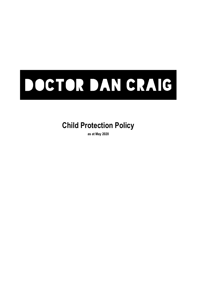# DOCTOR DAN CRAIG

## **Child Protection Policy**

**as at May 2020**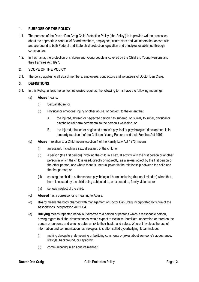### **1. PURPOSE OF THE POLICY**

- 1.1. The purpose of the Doctor Dan Craig Child Protection Policy ('the Policy') is to provide written processes about the appropriate conduct of Board members, employees, contractors and volunteers that accord with and are bound to both Federal and State child protection legislation and principles established through common law.
- 1.2. In Tasmania, the protection of children and young people is covered by the Children, Young Persons and their Families Act 1997.

### **2. SCOPE OF THE POLICY**

2.1. The policy applies to all Board members, employees, contractors and volunteers of Doctor Dan Craig.

### **3. DEFINITIONS**

- 3.1. In this Policy, unless the context otherwise requires, the following terms have the following meanings:
	- (a) **Abuse** means:
		- (i) Sexual abuse; or
		- (ii) Physical or emotional injury or other abuse, or neglect, to the extent that:
			- A. the injured, abused or neglected person has suffered, or is likely to suffer, physical or psychological harm detrimental to the person's wellbeing; or
			- B. the injured, abused or neglected person's physical or psychological development is in jeopardy (section 4 of the Children, Young Persons and their Families Act 1997.
	- (b) **Abuse** in relation to a Child means (section 4 of the Family Law Act 1975) means:
		- (i) an assault, including a sexual assault, of the child; or
		- (ii) a person (the first person) involving the child in a sexual activity with the first person or another person in which the child is used, directly or indirectly, as a sexual object by the first person or the other person, and where there is unequal power in the relationship between the child and the first person; or
		- (iii) causing the child to suffer serious psychological harm, including (but not limited to) when that harm is caused by the child being subjected to, or exposed to, family violence; or
		- (iv) serious neglect of the child.
	- (c) **Abused** has a corresponding meaning to Abuse.
	- (d) **Board** means the body charged with management of Doctor Dan Craig Incorporated by virtue of the Associations Incorporation Act 1964.
	- (e) **Bullying** means repeated behaviour directed to a person or persons which a reasonable person, having regard to all the circumstances, would expect to victimise, humiliate, undermine or threaten the person or persons, and which creates a risk to their health and safety. Where it involves the use of information and communication technologies, it is often called cyberbullying. It can include:
		- (i) making derogatory, demeaning or belittling comments or jokes about someone's appearance, lifestyle, background, or capability;
		- (ii) communicating in an abusive manner;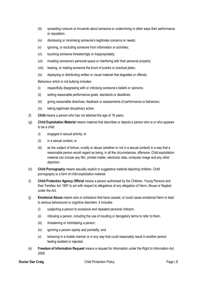- (iii) spreading rumours or innuendo about someone or undermining in other ways their performance or reputation;
- (iv) dismissing or minimising someone's legitimate concerns or needs;
- (v) ignoring, or excluding someone from information or activities;
- (vi) touching someone threateningly or inappropriately;
- (vii) invading someone's personal space or interfering with their personal property;
- (viii) teasing, or making someone the brunt of pranks or practical jokes;
- (ix) displaying or distributing written or visual material that degrades or offends.

Behaviour which is not bullying includes:

- (i) respectfully disagreeing with or criticising someone's beliefs or opinions;
- (ii) setting reasonable performance goals, standards or deadlines;
- (iii) giving reasonable directives, feedback or assessments of performance or behaviour;
- (iv) taking legitimate disciplinary action.
- (f) **Child** means a person who has not attained the age of 18 years;
- (g) **Child Exploitation Material** means material that describes or depicts a person who is or who appears to be a child:
	- (i) engaged in sexual activity; or
	- (ii) in a sexual context; or
	- (iii) as the subject of torture, cruelty or abuse (whether or not in a sexual context) in a way that a reasonable person would regard as being, in all the circumstances, offensive. Child exploitation material can include any film, printed matter, electronic data, computer image and any other depiction.
- (h) **Child Pornography** means sexually explicit or suggestive material depicting children. Child pornography is a form of child exploitation material.
- (i) **Child Protection Agency Official** means a person authorised by the Children, Young Persons and their Families Act 1997 to act with respect to allegations of any allegation of Harm, Abuse or Neglect under the Act.
- (j) **Emotional Abuse** means acts or omissions that have caused, or could cause emotional Harm or lead to serious behavioural or cognitive disorders. It includes:
	- (i) subjecting a person to excessive and repeated personal criticism;
	- (ii) ridiculing a person, including the use of insulting or derogatory terms to refer to them;
	- (iii) threatening or intimidating a person;
	- (iv) ignoring a person openly and pointedly; and
	- (v) behaving in a hostile manner or in any way that could reasonably result in another person feeling isolated or rejected.
- (k) **Freedom of Information Request** means a request for information under the Right to Information Act 2009.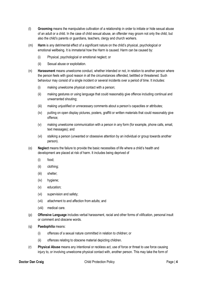- (l) **Grooming** means the manipulative cultivation of a relationship in order to initiate or hide sexual abuse of an adult or a child. In the case of child sexual abuse, an offender may groom not only the child, but also the child's parents or guardians, teachers, clergy and church workers.
- (m) **Harm** is any detrimental effect of a significant nature on the child's physical, psychological or emotional wellbeing. It is immaterial how the Harm is caused. Harm can be caused by:
	- (i) Physical, psychological or emotional neglect; or
	- (ii) Sexual abuse or exploitation.
- (n) **Harassment** means unwelcome conduct, whether intended or not, in relation to another person where the person feels with good reason in all the circumstances offended, belittled or threatened. Such behaviour may consist of a single incident or several incidents over a period of time. It includes:
	- (i) making unwelcome physical contact with a person;
	- (ii) making gestures or using language that could reasonably give offence including continual and unwarranted shouting;
	- (iii) making unjustified or unnecessary comments about a person's capacities or attributes;
	- (iv) putting on open display pictures, posters, graffiti or written materials that could reasonably give offence;
	- (v) making unwelcome communication with a person in any form (for example, phone calls, email, text messages); and
	- (vi) stalking a person (unwanted or obsessive attention by an individual or group towards another person).
- (o) **Neglect** means the failure to provide the basic necessities of life where a child's health and development are placed at risk of harm. It includes being deprived of
	- (i) food;
	- (ii) clothing;
	- (iii) shelter;
	- (iv) hygiene;
	- (v) education;
	- (vi) supervision and safety;
	- (vii) attachment to and affection from adults; and
	- (viii) medical care.
- (p) **Offensive Language** includes verbal harassment, racial and other forms of vilification, personal insult or comment and obscene words.
- (q) **Paedophilia** means:
	- (i) offences of a sexual nature committed in relation to children; or
	- (ii) offences relating to obscene material depicting children.
- (r) **Physical Abuse** means any intentional or reckless act, use of force or threat to use force causing injury to, or involving unwelcome physical contact with, another person. This may take the form of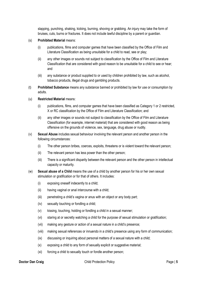slapping, punching, shaking, kicking, burning, shoving or grabbing. An injury may take the form of bruises, cuts, burns or fractures. It does not include lawful discipline by a parent or guardian.

### (s) **Prohibited Material** means:

- (i) publications, films and computer games that have been classified by the Office of Film and Literature Classification as being unsuitable for a child to read, see or play;
- (ii) any other images or sounds not subject to classification by the Office of Film and Literature Classification that are considered with good reason to be unsuitable for a child to see or hear; and
- (iii) any substance or product supplied to or used by children prohibited by law, such as alcohol, tobacco products, illegal drugs and gambling products.
- (t) **Prohibited Substance** means any substance banned or prohibited by law for use or consumption by adults.

### (u) **Restricted Material** means:

- (i) publications, films, and computer games that have been classified as Category 1 or 2 restricted, X or RC classification by the Office of Film and Literature Classification; and
- (ii) any other images or sounds not subject to classification by the Office of Film and Literature Classification (for example, internet material) that are considered with good reason as being offensive on the grounds of violence, sex, language, drug abuse or nudity.
- (v) **Sexual Abuse** includes sexual behaviour involving the relevant person and another person in the following circumstances:
	- (i) The other person bribes, coerces, exploits, threatens or is violent toward the relevant person;
	- (ii) The relevant person has less power than the other person;
	- (iii) There is a significant disparity between the relevant person and the other person in intellectual capacity or maturity.
- (w) **Sexual abuse of a Child** means the use of a child by another person for his or her own sexual stimulation or gratification or for that of others. It includes:
	- (i) exposing oneself indecently to a child;
	- (ii) having vaginal or anal intercourse with a child;
	- (iii) penetrating a child's vagina or anus with an object or any body part;
	- (iv) sexually touching or fondling a child;
	- (v) kissing, touching, holding or fondling a child in a sexual manner;
	- (vi) staring at or secretly watching a child for the purpose of sexual stimulation or gratification;
	- (vii) making any gesture or action of a sexual nature in a child's presence;
	- (viii) making sexual references or innuendo in a child's presence using any form of communication;
	- (ix) discussing or inquiring about personal matters of a sexual nature with a child;
	- (x) exposing a child to any form of sexually explicit or suggestive material;
	- (xi) forcing a child to sexually touch or fondle another person;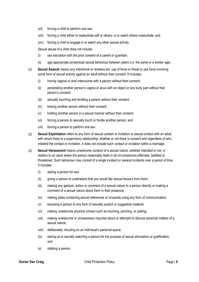- (xii) forcing a child to perform oral sex;
- (xiii) forcing a child either to masturbate self or others, or to watch others masturbate; and
- (xiv) forcing a child to engage in or watch any other sexual activity.

Sexual abuse of a child does not include:

- (i) sex education with the prior consent of a parent or guardian;
- (ii) age appropriate consensual sexual behaviour between peers (i.e. the same or a similar age).
- (x) **Sexual Assault** means any intentional or reckless act, use of force or threat to use force involving some form of sexual activity against an adult without their consent. It includes:
	- (i) having vaginal or anal intercourse with a person without their consent;
	- (ii) penetrating another person's vagina or anus with an object or any body part without that person's consent;
	- (iii) sexually touching and fondling a person without their consent;
	- (iv) kissing another person without their consent;
	- (v) holding another person in a sexual manner without their consent;
	- (vi) forcing a person to sexually touch or fondle another person; and
	- (vii) forcing a person to perform oral sex.
- (y) **Sexual Exploitation** refers to any form of sexual contact or invitation to sexual contact with an adult, with whom there is a supervisory relationship, whether or not there is consent and regardless of who initiated the contact or invitation. It does not include such contact or invitation within a marriage.
- (z) **Sexual Harassment** means unwelcome conduct of a sexual nature, whether intended or not, in relation to an adult where the person reasonably feels in all circumstances offended, belittled or threatened. Such behaviour may consist of a single incident or several incidents over a period of time. It includes:
	- (i) asking a person for sex;
	- (ii) giving a person to understand that you would like sexual favours from them;
	- (iii) making any gesture, action or comment of a sexual nature to a person directly or making a comment of a sexual nature about them in their presence;
	- (iv) making jokes containing sexual references or innuendo using any form of communication;
	- (v) exposing a person to any form of sexually explicit or suggestive material;
	- (vi) making unwelcome physical contact such as touching, pinching, or patting;
	- (vii) making unwelcome or unnecessary inquiries about or attempts to discuss personal matters of a sexual nature;
	- (viii) deliberately intruding on an individual's personal space;
	- (ix) staring at or secretly watching a person for the purpose of sexual stimulation or gratification; and
	- (x) stalking a person.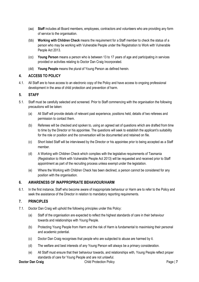- (aa) **Staff** includes all Board members, employees, contractors and volunteers who are providing any form of service to the organisation.
- (bb) **Working with Children Check** means the requirement for a Staff member to check the status of a person who may be working with Vulnerable People under the Registration to Work with Vulnerable People Act 2013.
- (cc) **Young Person** means a person who is between 13 to 17 years of age and participating in services provided or activities relating to Doctor Dan Craig Incorporated.
- (dd) **Young People** means the plural of Young Person as defined herein.

### **4. ACCESS TO POLICY**

4.1. All Staff are to have access to an electronic copy of the Policy and have access to ongoing professional development in the area of child protection and prevention of harm.

### **5. STAFF**

- 5.1. Staff must be carefully selected and screened. Prior to Staff commencing with the organisation the following precautions will be taken:
	- (a) All Staff will provide details of relevant past experience, positions held, details of two referees and permission to contact them.
	- (b) Referees will be checked and spoken to, using an agreed set of questions which are drafted from time to time by the Director or his appointee. The questions will seek to establish the applicant's suitability for the role or position and the conversation will be documented and retained on file.
	- (c) Short listed Staff will be interviewed by the Director or his appointee prior to being accepted as a Staff member.
	- (d) A Working with Children Check which complies with the legislative requirements of Tasmania (Registration to Work with Vulnerable People Act 2013) will be requested and received prior to Staff appointment as part of the recruiting process unless exempt under the legislation.
	- (e) Where the Working with Children Check has been declined, a person cannot be considered for any position with the organisation.

### **6. AWARENESS OF INAPPROPRIATE BEHAVIOUR/HARM**

6.1. In the first instance, Staff who become aware of inappropriate behaviour or Harm are to refer to the Policy and seek the assistance of the Director in relation to mandatory reporting requirements.

### **7. PRINCIPLES**

- 7.1. Doctor Dan Craig will uphold the following principles under this Policy:
	- (a) Staff of the organisation are expected to reflect the highest standards of care in their behaviour towards and relationships with Young People.
	- (b) Protecting Young People from Harm and the risk of Harm is fundamental to maximising their personal and academic potential.
	- (c) Doctor Dan Craig recognises that people who are subjected to abuse are harmed by it.
	- (d) The welfare and best interests of any Young Person will always be a primary consideration.
	- (e) All Staff must ensure that their behaviour towards, and relationships with, Young People reflect proper standards of care for Young People and are not unlawful.

**Doctor Dan Craig** Page | **7** Child Protection Policy Page | **7** Page | **7**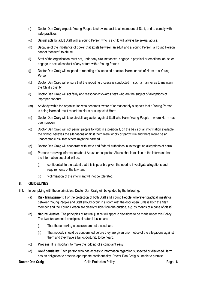- (f) Doctor Dan Craig expects Young People to show respect to all members of Staff, and to comply with safe practices.
- (g) Sexual acts by adult Staff with a Young Person who is a child will always be sexual abuse.
- (h) Because of the imbalance of power that exists between an adult and a Young Person, a Young Person cannot "consent" to abuse.
- (i) Staff of the organisation must not, under any circumstances, engage in physical or emotional abuse or engage in sexual conduct of any nature with a Young Person.
- (j) Doctor Dan Craig will respond to reporting of suspected or actual Harm, or risk of Harm to a Young Person.
- (k) Doctor Dan Craig will ensure that the reporting process is conducted in such a manner as to maintain the Child's dianity.
- (l) Doctor Dan Craig will act fairly and reasonably towards Staff who are the subject of allegations of improper conduct.
- (m) Anybody within the organisation who becomes aware of or reasonably suspects that a Young Person is being Harmed, must report the Harm or suspected Harm.
- (n) Doctor Dan Craig will take disciplinary action against Staff who Harm Young People where Harm has been proven.
- (o) Doctor Dan Craig will not permit people to work in a position if, on the basis of all information available, the School believes the allegations against them were wholly or partly true and there would be an unacceptable risk that others might be harmed.
- (p) Doctor Dan Craig will cooperate with state and federal authorities in investigating allegations of harm.
- (q) Persons receiving information about Abuse or suspected Abuse should explain to the informant that the information supplied will be:
	- (i) confidential, to the extent that this is possible given the need to investigate allegations and requirements of the law, and
	- (ii) victimisation of the informant will not be tolerated.

### **8. GUIDELINES**

- 8.1. In complying with these principles, Doctor Dan Craig will be guided by the following:
	- (a) **Risk Management**: For the protection of both Staff and Young People, wherever practical, meetings between Young People and Staff should occur in a room with the door open (unless both the Staff member and the Young Person are clearly visible from the outside, e.g. by means of a pane of glass).
	- (b) **Natural Justice**: The principles of natural justice will apply to decisions to be made under this Policy. The two fundamental principles of natural justice are:
		- (i) That those making a decision are not biased; and
		- (ii) That nobody should be condemned before they are given prior notice of the allegations against them and they have a fair opportunity to be heard.
	- (c) **Process**: It is important to make the lodging of a complaint easy.
	- (d) **Confidentiality**: Each person who has access to information regarding suspected or disclosed Harm has an obligation to observe appropriate confidentiality. Doctor Dan Craig is unable to promise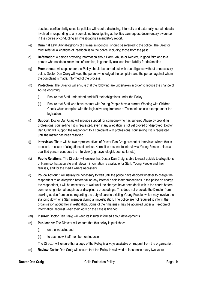absolute confidentiality since its policies will require disclosing, internally and externally, certain details involved in responding to any complaint. Investigating authorities can request documentary evidence in the course of conducting an investigating a mandatory report.

- (e) **Criminal Law**: Any allegations of criminal misconduct should be referred to the police. The Director must refer all allegations of Paedophilia to the police, including those from the past.
- (f) **Defamation**: A person providing information about Harm, Abuse or Neglect, in good faith and to a person who needs to know that information, is generally excused from liability for defamation.
- (g) **Promptness**: All steps under the Policy should be carried out with due diligence without unnecessary delay. Doctor Dan Craig will keep the person who lodged the complaint and the person against whom the complaint is made, informed of the process.
- (h) **Protection**: The Director will ensure that the following are undertaken in order to reduce the chance of Abuse occurring:
	- (i) Ensure that Staff understand and fulfil their obligations under the Policy.
	- (ii) Ensure that Staff who have contact with Young People have a current Working with Children Check which complies with the legislative requirements of Tasmania unless exempt under the legislation.
- (i) **Support**: Doctor Dan Craig will provide support for someone who has suffered Abuse by providing professional counselling if it is requested, even if any allegation is not yet proved or disproved. Doctor Dan Craig will support the respondent to a complaint with professional counselling if it is requested until the matter has been resolved.
- (j) **Interviews**: There will be two representatives of Doctor Dan Craig present at interviews where this is practical. In cases of allegations of serious Harm, it is best not to interview a Young Person unless a qualified person conducts the interview (e.g. psychologist, counsellor etc).
- (k) **Public Relations**: The Director will ensure that Doctor Dan Craig is able to react quickly to allegations of Harm so that accurate and relevant information is available for Staff, Young People and their families, and for the media where necessary.
- (l) **Police Action**: It will usually be necessary to wait until the police have decided whether to charge the respondent to an allegation before taking any internal disciplinary proceedings. If the police do charge the respondent, it will be necessary to wait until the charges have been dealt with in the courts before commencing internal enquiries or disciplinary proceedings. This does not preclude the Director from seeking advice from police regarding the duty of care to existing Young People, which may involve the standing down of a Staff member during an investigation. The police are not required to inform the organisation about their investigation. Some of their materials may be acquired under a Freedom of Information Request when their work on the case is finished.
- (m) **Insurer**: Doctor Dan Craig will keep its insurer informed about developments.
- (n) **Publication**: The Director will ensure that this policy is published:
	- (i) on the website; and
	- (ii) to each new Staff member, on induction.

The Director will ensure that a copy of the Policy is always available on request from the organisation.

(o) **Review**: Doctor Dan Craig will ensure that the Policy is reviewed at least once every two years.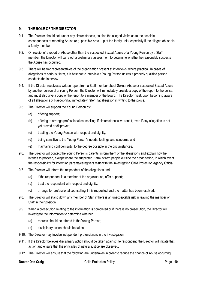### **9. THE ROLE OF THE DIRECTOR**

- 9.1. The Director should not, under any circumstances, caution the alleged victim as to the possible consequences of reporting Abuse (e.g. possible break-up of the family unit), especially if the alleged abuser is a family member.
- 9.2. On receipt of a report of Abuse other than the suspected Sexual Abuse of a Young Person by a Staff member, the Director will carry out a preliminary assessment to determine whether he reasonably suspects the Abuse has occurred.
- 9.3. There will be two representatives of the organisation present at interviews, where practical. In cases of allegations of serious Harm, it is best not to interview a Young Person unless a properly qualified person conducts the interview.
- 9.4. If the Director receives a written report from a Staff member about Sexual Abuse or suspected Sexual Abuse by another person of a Young Person, the Director will immediately provide a copy of the report to the police, and must also give a copy of the report to a member of the Board. The Director must, upon becoming aware of all allegations of Paedophilia, immediately refer that allegation in writing to the police.
- 9.5. The Director will support the Young Person by:
	- (a) offering support;
	- (b) offering to arrange professional counselling, if circumstances warrant it, even if any allegation is not yet proved or disproved;
	- (c) treating the Young Person with respect and dignity;
	- (d) being sensitive to the Young Person's needs, feelings and concerns; and
	- (e) maintaining confidentiality, to the degree possible in the circumstances.
- 9.6. The Director will contact the Young Person's parents, inform them of the allegations and explain how he intends to proceed, except where the suspected Harm is from people outside the organisation, in which event the responsibility for informing parents/caregivers rests with the investigating Child Protection Agency Official.
- 9.7. The Director will inform the respondent of the allegations and:
	- (a) if the respondent is a member of the organisation, offer support;
	- (b) treat the respondent with respect and dignity;
	- (c) arrange for professional counselling if it is requested until the matter has been resolved.
- 9.8. The Director will stand down any member of Staff if there is an unacceptable risk in leaving the member of Staff in their position.
- 9.9. When a prosecution relating to the information is completed or if there is no prosecution, the Director will investigate the information to determine whether:
	- (a) redress should be offered to the Young Person;
	- (b) disciplinary action should be taken.
- 9.10. The Director may involve independent professionals in the investigation.
- 9.11. If the Director believes disciplinary action should be taken against the respondent, the Director will initiate that action and ensure that the principles of natural justice are observed.
- 9.12. The Director will ensure that the following are undertaken in order to reduce the chance of Abuse occurring: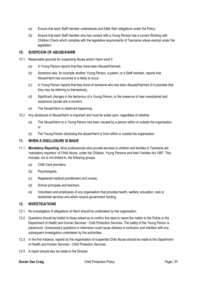- (a) Ensure that each Staff member understands and fulfils their obligations under the Policy;
- (b) Ensure that each Staff member who has contact with a Young Person has a current Working with Children Check which complies with the legislative requirements of Tasmania unless exempt under the legislation.

### **10. SUSPICION OF ABUSE/HARM**

- 10.1. Reasonable grounds for suspecting Abuse and/or Harm exist if:
	- (a) A Young Person reports that they have been Abused/Harmed;
	- (b) Someone else, for example another Young Person, a parent, or a Staff member, reports that Abuse/Harm has occurred or is likely to occur;
	- (c) A Young Person reports that they know of someone who has been Abused/Harmed (it is possible that they may be referring to themselves);
	- (d) Significant changes in the behaviour of a Young Person, or the presence of new unexplained and suspicious injuries are a concern;
	- (e) The Abuse/Harm is observed happening.
- 10.2. Any disclosure of Abuse/Harm is important and must be acted upon, regardless of whether:
	- (a) The Abuse/Harm to a Young Person has been caused by a person within or outside the organisation, or
	- (b) The Young Person disclosing the abuse/Harm is from within or outside the organisation.

### **11. WHEN A DISCLOSURE IS MADE**

- 11.1. **Mandatory Reporting**: Most professionals who provide services to children and families in Tasmania are 'mandatory reporters' of Child Abuse, under the Children, Young Persons and their Families Act 1997. This includes, but is not limited to, the following groups:
	- (a) Child Care providers;
	- (b) Psychologists;
	- (c) Registered medical practitioners and nurses;
	- (d) School principals and teachers;
	- (e) Volunteers and employees of any organisation that provides health, welfare, education, care or residential services and which receive government funding.

### **12. INVESTIGATIONS**

- 12.1. No investigation of allegations of Harm should be undertaken by the organisation.
- 12.2. Questions should be limited to those asked as to confirm the need to report the matter to the Police or the Department of Health and Human Services - Child Protection Services. The safety of the Young Person is paramount. Unnecessary questions or interviews could cause distress or confusion and interfere with any subsequent investigation undertaken by the authorities.
- 12.3. In the first instance, reports by the organisation of suspected Child Abuse should be made to the Department of Health and Human Services - Child Protection Services.
- 12.4. A report should also be made to the Director.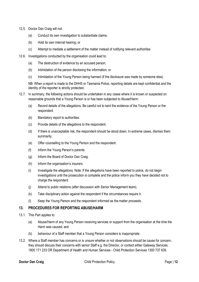- 12.5. Doctor Dan Craig will not:
	- (a) Conduct its own investigation to substantiate claims;
	- (b) Hold its own internal hearing; or
	- (c) Attempt to mediate a settlement of the matter instead of notifying relevant authorities
- 12.6. Investigations conducted by the organisation could lead to:
	- (a) The destruction of evidence by an accused person;
	- (b) Intimidation of the person disclosing the information; or
	- (c) Intimidation of the Young Person being harmed (if the disclosure was made by someone else).

NB: When a report is made to the DHHS or Tasmania Police, reporting details are kept confidential and the identity of the reporter is strictly protected.

- 12.7. In summary, the following actions should be undertaken in any cases where it is known or suspected on reasonable grounds that a Young Person is or has been subjected to Abuse/Harm:
	- (a) Record details of the allegations. Be careful not to taint the evidence of the Young Person or the respondent.
	- (b) Mandatory report to authorities.
	- (c) Provide details of the allegations to the respondent.
	- (d) If there is unacceptable risk, the respondent should be stood down. In extreme cases, dismiss them summarily.
	- (e) Offer counselling to the Young Person and the respondent.
	- (f) Inform the Young Person's parents.
	- (g) Inform the Board of Doctor Dan Craig.
	- (h) Inform the organisation's insurers.
	- (i) Investigate the allegations. Note: If the allegations have been reported to police, do not begin investigations until the prosecution is complete and the police inform you they have decided not to charge the respondent.
	- (j) Attend to public relations (after discussion with Senior Management team).
	- (k) Take disciplinary action against the respondent if the circumstances require it.
	- (l) Keep the Young Person and the respondent informed as the matter proceeds.

### **13. PROCEDURES FOR REPORTING ABUSE/HARM**

- 13.1. This Part applies to:
	- (a) Abuse/Harm of any Young Person receiving services or support from the organisation at the time the Harm was caused; and
	- (b) behaviour of a Staff member that a Young Person considers is inappropriate.
- 13.2. Where a Staff member has concerns or is unsure whether or not observations should be cause for concern, they should discuss their concerns with senior Staff e.g. the Director, or contact either Gateway Services: 1800 171 233 OR Department of Health and Human Services - Child Protection Services 1300 737 639.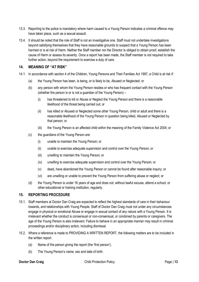- 13.3. Reporting to the police is mandatory where harm caused to a Young Person indicates a criminal offence may have taken place, such as a sexual assault.
- 13.4. It should be noted that the role of Staff is not an investigative one. Staff must not undertake investigations beyond satisfying themselves that they have reasonable grounds to suspect that a Young Person has been harmed or is at risk of Harm. Neither the Staff member nor the Director is obliged to obtain proof, establish the cause of Harm or assess its severity. Once a report has been made, the Staff member is not required to take further action, beyond the requirement to exercise a duty of care.

### **14. MEANING OF "AT RISK"**

- 14.1. In accordance with section 4 of the Children, Young Persons and Their Families Act 1997, a Child is at risk if:
	- (a) the Young Person has been, is being, or is likely to be, Abused or Neglected; or
	- (b) any person with whom the Young Person resides or who has frequent contact with the Young Person (whether the person is or is not a guardian of the Young Person) –
		- (i) has threatened to kill or Abuse or Neglect the Young Person and there is a reasonable likelihood of the threat being carried out; or
		- (ii) has killed or Abused or Neglected some other Young Person, child or adult and there is a reasonable likelihood of the Young Person in question being killed, Abused or Neglected by that person; or
		- (iii) the Young Person is an affected child within the meaning of the Family Violence Act 2004; or
	- (c) the guardians of the Young Person are:
		- (i) unable to maintain the Young Person; or
		- (ii) unable to exercise adequate supervision and control over the Young Person; or
		- (iii) unwilling to maintain the Young Person; or
		- (iv) unwilling to exercise adequate supervision and control over the Young Person; or
		- (v) dead, have abandoned the Young Person or cannot be found after reasonable inquiry; or
		- (vi) are unwilling or unable to prevent the Young Person from suffering abuse or neglect; or
	- (d) the Young Person is under 16 years of age and does not, without lawful excuse, attend a school, or other educational or training institution, regularly.

### **15. REPORTING PROCEDURE**

- 15.1. Staff members at Doctor Dan Craig are expected to reflect the highest standards of care in their behaviour towards, and relationships with Young People. Staff of Doctor Dan Craig must not under any circumstances engage in physical or emotional Abuse or engage in sexual contact of any nature with a Young Person. It is irrelevant whether the conduct is consensual or non-consensual, or condoned by parents or caregivers. The age of the Young Person is also irrelevant. Failure to behave in an appropriate manner may result in criminal proceedings and/or disciplinary action, including dismissal.
- 15.2. Where a reference is made to PROVIDING A WRITTEN REPORT, the following matters are to be included in the written report:
	- (a) Name of the person giving the report (the 'first person').
	- (b) The Young Person's name, sex and date of birth.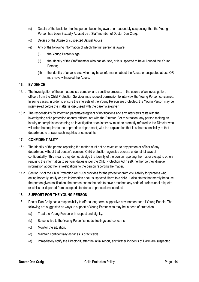- (c) Details of the basis for the first person becoming aware, or reasonably suspecting, that the Young Person has been Sexually Abused by a Staff member of Doctor Dan Craig.
- (d) Details of the Abuse or suspected Sexual Abuse.
- (e) Any of the following information of which the first person is aware:
	- (i) the Young Person's age;
	- (ii) the identity of the Staff member who has abused, or is suspected to have Abused the Young Person;
	- (iii) the identity of anyone else who may have information about the Abuse or suspected abuse OR may have witnessed the Abuse.

### **16. EVIDENCE**

- 16.1. The investigation of these matters is a complex and sensitive process. In the course of an investigation, officers from the Child Protection Services may request permission to interview the Young Person concerned. In some cases, in order to ensure the interests of the Young Person are protected, the Young Person may be interviewed before the matter is discussed with the parent/caregiver.
- 16.2. The responsibility for informing parents/caregivers of notifications and any interviews rests with the investigating child protection agency officers, not with the Director. For this reason, any person making an inquiry or complaint concerning an investigation or an interview must be promptly referred to the Director who will refer the enquirer to the appropriate department, with the explanation that it is the responsibility of that department to answer such inquiries or complaints.

### **17. CONFIDENTIALITY**

- 17.1. The identity of the person reporting the matter must not be revealed to any person or officer of any department without that person's consent. Child protection agencies operate under strict laws of confidentiality. This means they do not divulge the identity of the person reporting the matter except to others requiring the information to perform duties under the Child Protection Act 1999, neither do they divulge information about their investigations to the person reporting the matter.
- 17.2. Section 22 of the Child Protection Act 1999 provides for the protection from civil liability for persons who, acting honestly, notify or give information about suspected Harm to a child. It also states that merely because the person gives notification, the person cannot be held to have breached any code of professional etiquette or ethics, or departed from accepted standards of professional conduct.

### **18. SUPPORT FOR THE YOUNG PERSON**

- 18.1. Doctor Dan Craig has a responsibility to offer a long-term, supportive environment for all Young People. The following are suggested as ways to support a Young Person who may be in need of protection:
	- (a) Treat the Young Person with respect and dignity.
	- (b) Be sensitive to the Young Person's needs, feelings and concerns.
	- (c) Monitor the situation.
	- (d) Maintain confidentially as far as is practicable.
	- (e) Immediately notify the Director if, after the initial report, any further incidents of Harm are suspected.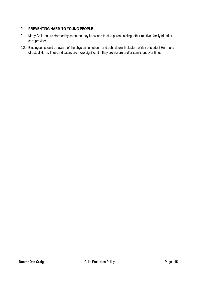### **19. PREVENTING HARM TO YOUNG PEOPLE**

- 19.1. Many Children are Harmed by someone they know and trust: a parent, sibling, other relative, family friend or care provider.
- 19.2. Employees should be aware of the physical, emotional and behavioural indicators of risk of student Harm and of actual Harm. These indicators are more significant if they are severe and/or consistent over time.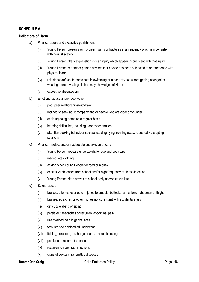### **SCHEDULE A**

### **Indicators of Harm**

- (a) Physical abuse and excessive punishment
	- (i) Young Person presents with bruises, burns or fractures at a frequency which is inconsistent with normal activity
	- (ii) Young Person offers explanations for an injury which appear inconsistent with that injury
	- (iii) Young Person or another person advises that he/she has been subjected to or threatened with physical Harm
	- (iv) reluctance/refusal to participate in swimming or other activities where getting changed or wearing more revealing clothes may show signs of Harm
	- (v) excessive absenteeism
- (b) Emotional abuse and/or deprivation
	- (i) poor peer relationships/withdrawn
	- (ii) inclined to seek adult company and/or people who are older or younger
	- (iii) avoiding going home on a regular basis
	- (iv) learning difficulties, including poor concentration
	- (v) attention seeking behaviour such as stealing, lying, running away, repeatedly disrupting sessions
- (c) Physical neglect and/or inadequate supervision or care
	- (i) Young Person appears underweight for age and body type
	- (ii) inadequate clothing
	- (iii) asking other Young People for food or money
	- (iv) excessive absences from school and/or high frequency of illness/infection
	- (v) Young Person often arrives at school early and/or leaves late
- (d) Sexual abuse
	- (i) bruises, bite marks or other injuries to breasts, buttocks, arms, lower abdomen or thighs
	- (ii) bruises, scratches or other injuries not consistent with accidental injury
	- (iii) difficulty walking or sitting
	- (iv) persistent headaches or recurrent abdominal pain
	- (v) unexplained pain in genital area
	- (vi) torn, stained or bloodied underwear
	- (vii) itching, soreness, discharge or unexplained bleeding
	- (viii) painful and recurrent urination
	- (ix) recurrent urinary tract infections
	- (x) signs of sexually transmitted diseases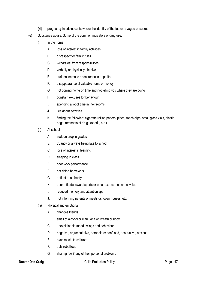- (xi) pregnancy in adolescents where the identity of the father is vague or secret.
- (e) Substance abuse: Some of the common indicators of drug use:
	- (i) In the home
		- A. loss of interest in family activities
		- B. disrespect for family rules
		- C. withdrawal from responsibilities
		- D. verbally or physically abusive
		- E. sudden increase or decrease in appetite
		- F. disappearance of valuable items or money
		- G. not coming home on time and not telling you where they are going
		- H. constant excuses for behaviour
		- I. spending a lot of time in their rooms
		- J. lies about activities
		- K. finding the following: cigarette rolling papers, pipes, roach clips, small glass vials, plastic bags, remnants of drugs (seeds, etc.).
	- (ii) At school
		- A. sudden drop in grades
		- B. truancy or always being late to school
		- C. loss of interest in learning
		- D. sleeping in class
		- E. poor work performance
		- F. not doing homework
		- G. defiant of authority
		- H. poor attitude toward sports or other extracurricular activities
		- I. reduced memory and attention span
		- J. not informing parents of meetings, open houses, etc.
	- (iii) Physical and emotional
		- A. changes friends
		- B. smell of alcohol or marijuana on breath or body
		- C. unexplainable mood swings and behaviour
		- D. negative, argumentative, paranoid or confused, destructive, anxious
		- E. over‐reacts to criticism
		- F. acts rebellious
		- G. sharing few if any of their personal problems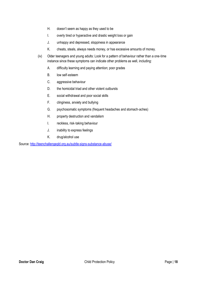- H. doesn't seem as happy as they used to be
- I. overly tired or hyperactive and drastic weight loss or gain
- J. unhappy and depressed, sloppiness in appearance
- K. cheats, steals, always needs money, or has excessive amounts of money.
- (iv) Older teenagers and young adults: Look for a pattern of behaviour rather than a one‐time instance since these symptoms can indicate other problems as well, including:
	- A. difficulty learning and paying attention; poor grades
	- B. low self‐esteem
	- C. aggressive behaviour
	- D. the homicidal triad and other violent outbursts
	- E. social withdrawal and poor social skills
	- F. clinginess, anxiety and bullying
	- G. psychosomatic symptoms (frequent headaches and stomach‐aches)
	- H. property destruction and vandalism
	- I. reckless, risk‐taking behaviour
	- J. inability to express feelings
	- K. drug/alcohol use

Source:<http://teenchallengeqld.org.au/subtle-signs-substance-abuse/>